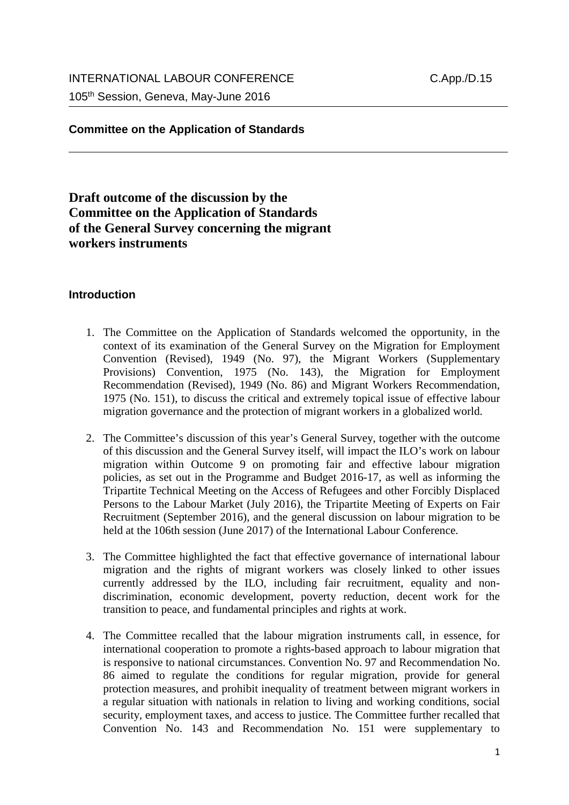## **Committee on the Application of Standards**

# **Draft outcome of the discussion by the Committee on the Application of Standards of the General Survey concerning the migrant workers instruments**

#### **Introduction**

- 1. The Committee on the Application of Standards welcomed the opportunity, in the context of its examination of the General Survey on the Migration for Employment Convention (Revised), 1949 (No. 97), the Migrant Workers (Supplementary Provisions) Convention, 1975 (No. 143), the Migration for Employment Recommendation (Revised), 1949 (No. 86) and Migrant Workers Recommendation, 1975 (No. 151), to discuss the critical and extremely topical issue of effective labour migration governance and the protection of migrant workers in a globalized world.
- 2. The Committee's discussion of this year's General Survey, together with the outcome of this discussion and the General Survey itself, will impact the ILO's work on labour migration within Outcome 9 on promoting fair and effective labour migration policies, as set out in the Programme and Budget 2016-17, as well as informing the Tripartite Technical Meeting on the Access of Refugees and other Forcibly Displaced Persons to the Labour Market (July 2016), the Tripartite Meeting of Experts on Fair Recruitment (September 2016), and the general discussion on labour migration to be held at the 106th session (June 2017) of the International Labour Conference.
- 3. The Committee highlighted the fact that effective governance of international labour migration and the rights of migrant workers was closely linked to other issues currently addressed by the ILO, including fair recruitment, equality and nondiscrimination, economic development, poverty reduction, decent work for the transition to peace, and fundamental principles and rights at work.
- 4. The Committee recalled that the labour migration instruments call, in essence, for international cooperation to promote a rights-based approach to labour migration that is responsive to national circumstances. Convention No. 97 and Recommendation No. 86 aimed to regulate the conditions for regular migration, provide for general protection measures, and prohibit inequality of treatment between migrant workers in a regular situation with nationals in relation to living and working conditions, social security, employment taxes, and access to justice. The Committee further recalled that Convention No. 143 and Recommendation No. 151 were supplementary to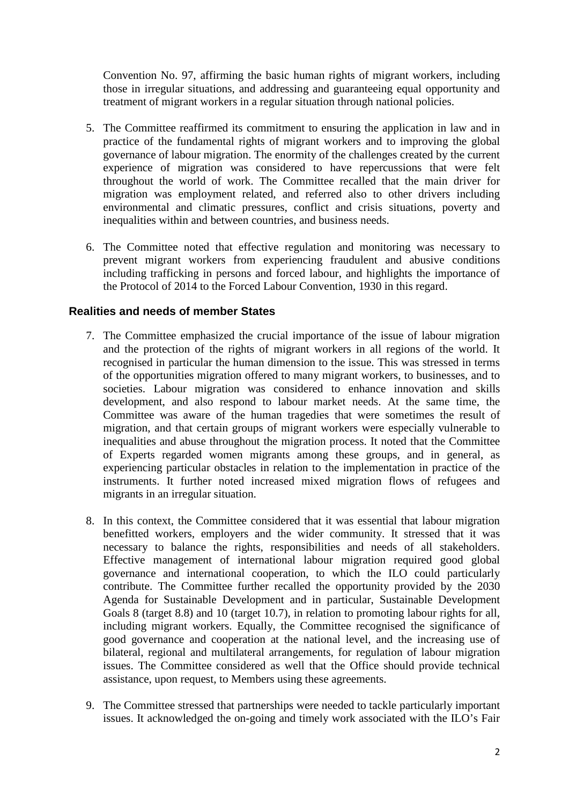Convention No. 97, affirming the basic human rights of migrant workers, including those in irregular situations, and addressing and guaranteeing equal opportunity and treatment of migrant workers in a regular situation through national policies.

- 5. The Committee reaffirmed its commitment to ensuring the application in law and in practice of the fundamental rights of migrant workers and to improving the global governance of labour migration. The enormity of the challenges created by the current experience of migration was considered to have repercussions that were felt throughout the world of work. The Committee recalled that the main driver for migration was employment related, and referred also to other drivers including environmental and climatic pressures, conflict and crisis situations, poverty and inequalities within and between countries, and business needs.
- 6. The Committee noted that effective regulation and monitoring was necessary to prevent migrant workers from experiencing fraudulent and abusive conditions including trafficking in persons and forced labour, and highlights the importance of the Protocol of 2014 to the Forced Labour Convention, 1930 in this regard.

### **Realities and needs of member States**

- 7. The Committee emphasized the crucial importance of the issue of labour migration and the protection of the rights of migrant workers in all regions of the world. It recognised in particular the human dimension to the issue. This was stressed in terms of the opportunities migration offered to many migrant workers, to businesses, and to societies. Labour migration was considered to enhance innovation and skills development, and also respond to labour market needs. At the same time, the Committee was aware of the human tragedies that were sometimes the result of migration, and that certain groups of migrant workers were especially vulnerable to inequalities and abuse throughout the migration process. It noted that the Committee of Experts regarded women migrants among these groups, and in general, as experiencing particular obstacles in relation to the implementation in practice of the instruments. It further noted increased mixed migration flows of refugees and migrants in an irregular situation.
- 8. In this context, the Committee considered that it was essential that labour migration benefitted workers, employers and the wider community. It stressed that it was necessary to balance the rights, responsibilities and needs of all stakeholders. Effective management of international labour migration required good global governance and international cooperation, to which the ILO could particularly contribute. The Committee further recalled the opportunity provided by the 2030 Agenda for Sustainable Development and in particular, Sustainable Development Goals 8 (target 8.8) and 10 (target 10.7), in relation to promoting labour rights for all, including migrant workers. Equally, the Committee recognised the significance of good governance and cooperation at the national level, and the increasing use of bilateral, regional and multilateral arrangements, for regulation of labour migration issues. The Committee considered as well that the Office should provide technical assistance, upon request, to Members using these agreements.
- 9. The Committee stressed that partnerships were needed to tackle particularly important issues. It acknowledged the on-going and timely work associated with the ILO's Fair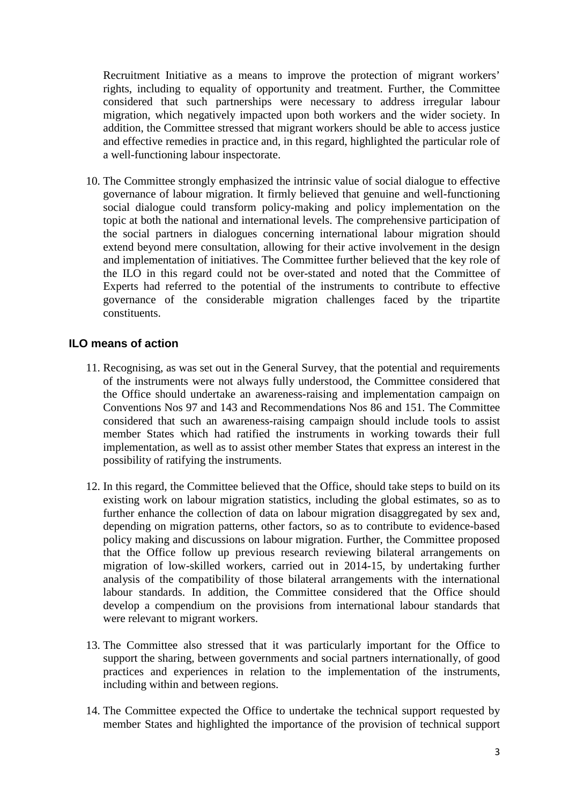Recruitment Initiative as a means to improve the protection of migrant workers' rights, including to equality of opportunity and treatment. Further, the Committee considered that such partnerships were necessary to address irregular labour migration, which negatively impacted upon both workers and the wider society. In addition, the Committee stressed that migrant workers should be able to access justice and effective remedies in practice and, in this regard, highlighted the particular role of a well-functioning labour inspectorate.

10. The Committee strongly emphasized the intrinsic value of social dialogue to effective governance of labour migration. It firmly believed that genuine and well-functioning social dialogue could transform policy-making and policy implementation on the topic at both the national and international levels. The comprehensive participation of the social partners in dialogues concerning international labour migration should extend beyond mere consultation, allowing for their active involvement in the design and implementation of initiatives. The Committee further believed that the key role of the ILO in this regard could not be over-stated and noted that the Committee of Experts had referred to the potential of the instruments to contribute to effective governance of the considerable migration challenges faced by the tripartite constituents.

## **ILO means of action**

- 11. Recognising, as was set out in the General Survey, that the potential and requirements of the instruments were not always fully understood, the Committee considered that the Office should undertake an awareness-raising and implementation campaign on Conventions Nos 97 and 143 and Recommendations Nos 86 and 151. The Committee considered that such an awareness-raising campaign should include tools to assist member States which had ratified the instruments in working towards their full implementation, as well as to assist other member States that express an interest in the possibility of ratifying the instruments.
- 12. In this regard, the Committee believed that the Office, should take steps to build on its existing work on labour migration statistics, including the global estimates, so as to further enhance the collection of data on labour migration disaggregated by sex and, depending on migration patterns, other factors, so as to contribute to evidence-based policy making and discussions on labour migration. Further, the Committee proposed that the Office follow up previous research reviewing bilateral arrangements on migration of low-skilled workers, carried out in 2014-15, by undertaking further analysis of the compatibility of those bilateral arrangements with the international labour standards. In addition, the Committee considered that the Office should develop a compendium on the provisions from international labour standards that were relevant to migrant workers.
- 13. The Committee also stressed that it was particularly important for the Office to support the sharing, between governments and social partners internationally, of good practices and experiences in relation to the implementation of the instruments, including within and between regions.
- 14. The Committee expected the Office to undertake the technical support requested by member States and highlighted the importance of the provision of technical support